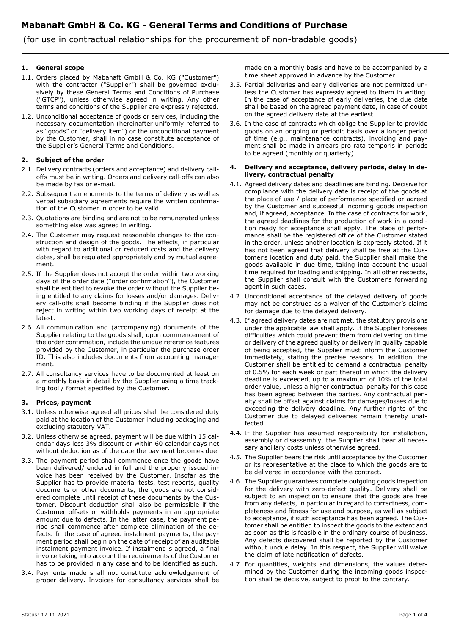(for use in contractual relationships for the procurement of non-tradable goods)

### 1. General scope

- 1.1. Orders placed by Mabanaft GmbH & Co. KG ("Customer") with the contractor ("Supplier") shall be governed exclusively by these General Terms and Conditions of Purchase ("GTCP"), unless otherwise agreed in writing. Any other terms and conditions of the Supplier are expressly rejected.
- 1.2. Unconditional acceptance of goods or services, including the necessary documentation (hereinafter uniformly referred to as "goods" or "delivery item") or the unconditional payment by the Customer, shall in no case constitute acceptance of the Supplier's General Terms and Conditions.

### 2. Subject of the order

- 2.1. Delivery contracts (orders and acceptance) and delivery calloffs must be in writing. Orders and delivery call-offs can also be made by fax or e-mail.
- 2.2. Subsequent amendments to the terms of delivery as well as verbal subsidiary agreements require the written confirmation of the Customer in order to be valid.
- 2.3. Quotations are binding and are not to be remunerated unless something else was agreed in writing.
- 2.4. The Customer may request reasonable changes to the construction and design of the goods. The effects, in particular with regard to additional or reduced costs and the delivery dates, shall be regulated appropriately and by mutual agreement.
- 2.5. If the Supplier does not accept the order within two working days of the order date ("order confirmation"), the Customer shall be entitled to revoke the order without the Supplier being entitled to any claims for losses and/or damages. Delivery call-offs shall become binding if the Supplier does not reject in writing within two working days of receipt at the latest.
- 2.6. All communication and (accompanying) documents of the Supplier relating to the goods shall, upon commencement of the order confirmation, include the unique reference features provided by the Customer, in particular the purchase order ID. This also includes documents from accounting management.
- 2.7. All consultancy services have to be documented at least on a monthly basis in detail by the Supplier using a time tracking tool / format specified by the Customer.

# 3. Prices, payment

- 3.1. Unless otherwise agreed all prices shall be considered duty paid at the location of the Customer including packaging and excluding statutory VAT.
- 3.2. Unless otherwise agreed, payment will be due within 15 calendar days less 3% discount or within 60 calendar days net without deduction as of the date the payment becomes due.
- 3.3. The payment period shall commence once the goods have been delivered/rendered in full and the properly issued invoice has been received by the Customer. Insofar as the Supplier has to provide material tests, test reports, quality documents or other documents, the goods are not considered complete until receipt of these documents by the Customer. Discount deduction shall also be permissible if the Customer offsets or withholds payments in an appropriate amount due to defects. In the latter case, the payment period shall commence after complete elimination of the defects. In the case of agreed instalment payments, the payment period shall begin on the date of receipt of an auditable instalment payment invoice. If instalment is agreed, a final invoice taking into account the requirements of the Customer has to be provided in any case and to be identified as such.
- 3.4. Payments made shall not constitute acknowledgement of proper delivery. Invoices for consultancy services shall be

made on a monthly basis and have to be accompanied by a time sheet approved in advance by the Customer.

- 3.5. Partial deliveries and early deliveries are not permitted unless the Customer has expressly agreed to them in writing. In the case of acceptance of early deliveries, the due date shall be based on the agreed payment date, in case of doubt on the agreed delivery date at the earliest.
- 3.6. In the case of contracts which oblige the Supplier to provide goods on an ongoing or periodic basis over a longer period of time (e.g., maintenance contracts), invoicing and payment shall be made in arrears pro rata temporis in periods to be agreed (monthly or quarterly).

#### 4. Delivery and acceptance, delivery periods, delay in delivery, contractual penalty

- 4.1. Agreed delivery dates and deadlines are binding. Decisive for compliance with the delivery date is receipt of the goods at the place of use / place of performance specified or agreed by the Customer and successful incoming goods inspection and, if agreed, acceptance. In the case of contracts for work, the agreed deadlines for the production of work in a condition ready for acceptance shall apply. The place of performance shall be the registered office of the Customer stated in the order, unless another location is expressly stated. If it has not been agreed that delivery shall be free at the Customer's location and duty paid, the Supplier shall make the goods available in due time, taking into account the usual time required for loading and shipping. In all other respects, the Supplier shall consult with the Customer's forwarding agent in such cases.
- 4.2. Unconditional acceptance of the delayed delivery of goods may not be construed as a waiver of the Customer's claims for damage due to the delayed delivery.
- 4.3. If agreed delivery dates are not met, the statutory provisions under the applicable law shall apply. If the Supplier foresees difficulties which could prevent them from delivering on time or delivery of the agreed quality or delivery in quality capable of being accepted, the Supplier must inform the Customer immediately, stating the precise reasons. In addition, the Customer shall be entitled to demand a contractual penalty of 0.5% for each week or part thereof in which the delivery deadline is exceeded, up to a maximum of 10% of the total order value, unless a higher contractual penalty for this case has been agreed between the parties. Any contractual penalty shall be offset against claims for damages/losses due to exceeding the delivery deadline. Any further rights of the Customer due to delayed deliveries remain thereby unaffected.
- 4.4. If the Supplier has assumed responsibility for installation, assembly or disassembly, the Supplier shall bear all necessary ancillary costs unless otherwise agreed.
- 4.5. The Supplier bears the risk until acceptance by the Customer or its representative at the place to which the goods are to be delivered in accordance with the contract.
- 4.6. The Supplier guarantees complete outgoing goods inspection for the delivery with zero-defect quality. Delivery shall be subject to an inspection to ensure that the goods are free from any defects, in particular in regard to correctness, completeness and fitness for use and purpose, as well as subject to acceptance, if such acceptance has been agreed. The Customer shall be entitled to inspect the goods to the extent and as soon as this is feasible in the ordinary course of business. Any defects discovered shall be reported by the Customer without undue delay. In this respect, the Supplier will waive the claim of late notification of defects.
- 4.7. For quantities, weights and dimensions, the values determined by the Customer during the incoming goods inspection shall be decisive, subject to proof to the contrary.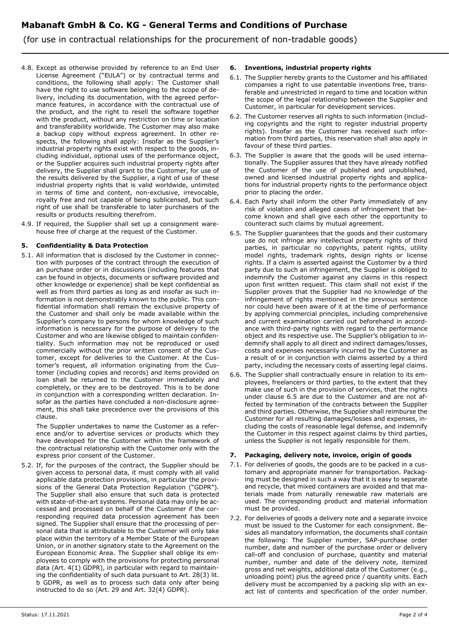# Mabanaft GmbH & Co. KG - General Terms and Conditions of Purchase

(for use in contractual relationships for the procurement of non-tradable goods)

- 4.8. Except as otherwise provided by reference to an End User License Agreement ("EULA") or by contractual terms and conditions, the following shall apply: The Customer shall have the right to use software belonging to the scope of delivery, including its documentation, with the agreed performance features, in accordance with the contractual use of the product, and the right to resell the software together with the product, without any restriction on time or location and transferability worldwide. The Customer may also make a backup copy without express agreement. In other respects, the following shall apply: Insofar as the Supplier's industrial property rights exist with respect to the goods, including individual, optional uses of the performance object, or the Supplier acquires such industrial property rights after delivery, the Supplier shall grant to the Customer, for use of the results delivered by the Supplier, a right of use of these industrial property rights that is valid worldwide, unlimited in terms of time and content, non-exclusive, irrevocable, royalty free and not capable of being sublicensed, but such right of use shall be transferable to later purchasers of the results or products resulting therefrom.
- 4.9. If required, the Supplier shall set up a consignment warehouse free of charge at the request of the Customer.

# 5. Confidentiality & Data Protection

5.1. All information that is disclosed by the Customer in connection with purposes of the contract through the execution of an purchase order or in discussions (including features that can be found in objects, documents or software provided and other knowledge or experience) shall be kept confidential as well as from third parties as long as and insofar as such information is not demonstrably known to the public. This confidential information shall remain the exclusive property of the Customer and shall only be made available within the Supplier's company to persons for whom knowledge of such information is necessary for the purpose of delivery to the Customer and who are likewise obliged to maintain confidentiality. Such information may not be reproduced or used commercially without the prior written consent of the Customer, except for deliveries to the Customer. At the Customer's request, all information originating from the Customer (including copies and records) and items provided on loan shall be returned to the Customer immediately and completely, or they are to be destroyed. This is to be done in conjunction with a corresponding written declaration. Insofar as the parties have concluded a non-disclosure agreement, this shall take precedence over the provisions of this clause.

The Supplier undertakes to name the Customer as a reference and/or to advertise services or products which they have developed for the Customer within the framework of the contractual relationship with the Customer only with the express prior consent of the Customer.

5.2. If, for the purposes of the contract, the Supplier should be given access to personal data, it must comply with all valid applicable data protection provisions, in particular the provisions of the General Data Protection Regulation ("GDPR"). The Supplier shall also ensure that such data is protected with state-of-the-art systems. Personal data may only be accessed and processed on behalf of the Customer if the corresponding required data procession agreement has been signed. The Supplier shall ensure that the processing of personal data that is attributable to the Customer will only take place within the territory of a Member State of the European Union, or in another signatory state to the Agreement on the European Economic Area. The Supplier shall oblige its employees to comply with the provisions for protecting personal data (Art. 4(1) GDPR), in particular with regard to maintaining the confidentiality of such data pursuant to Art. 28(3) lit. b GDPR, as well as to process such data only after being instructed to do so (Art. 29 and Art. 32(4) GDPR).

# 6. Inventions, industrial property rights

- 6.1. The Supplier hereby grants to the Customer and his affiliated companies a right to use patentable inventions free, transferable and unrestricted in regard to time and location within the scope of the legal relationship between the Supplier and Customer, in particular for development services.
- 6.2. The Customer reserves all rights to such information (including copyrights and the right to register industrial property rights). Insofar as the Customer has received such information from third parties, this reservation shall also apply in favour of these third parties.
- 6.3. The Supplier is aware that the goods will be used internationally. The Supplier assures that they have already notified the Customer of the use of published and unpublished, owned and licensed industrial property rights and applications for industrial property rights to the performance object prior to placing the order.
- 6.4. Each Party shall inform the other Party immediately of any risk of violation and alleged cases of infringement that become known and shall give each other the opportunity to counteract such claims by mutual agreement.
- 6.5. The Supplier guarantees that the goods and their customary use do not infringe any intellectual property rights of third parties, in particular no copyrights, patent rights, utility model rights, trademark rights, design rights or license rights. If a claim is asserted against the Customer by a third party due to such an infringement, the Supplier is obliged to indemnify the Customer against any claims in this respect upon first written request. This claim shall not exist if the Supplier proves that the Supplier had no knowledge of the infringement of rights mentioned in the previous sentence nor could have been aware of it at the time of performance by applying commercial principles, including comprehensive and current examination carried out beforehand in accordance with third-party rights with regard to the performance object and its respective use. The Supplier's obligation to indemnify shall apply to all direct and indirect damages/losses, costs and expenses necessarily incurred by the Customer as a result of or in conjunction with claims asserted by a third party, including the necessary costs of asserting legal claims.
- 6.6. The Supplier shall contractually ensure in relation to its employees, freelancers or third parties, to the extent that they make use of such in the provision of services, that the rights under clause 6.5 are due to the Customer and are not affected by termination of the contracts between the Supplier and third parties. Otherwise, the Supplier shall reimburse the Customer for all resulting damages/losses and expenses, including the costs of reasonable legal defense, and indemnify the Customer in this respect against claims by third parties, unless the Supplier is not legally responsible for them.

# Packaging, delivery note, invoice, origin of goods

- 7.1. For deliveries of goods, the goods are to be packed in a customary and appropriate manner for transportation. Packaging must be designed in such a way that it is easy to separate and recycle, that mixed containers are avoided and that materials made from naturally renewable raw materials are used. The corresponding product and material information must be provided.
- 7.2. For deliveries of goods a delivery note and a separate invoice must be issued to the Customer for each consignment. Besides all mandatory information, the documents shall contain the following: The Supplier number, SAP-purchase order number, date and number of the purchase order or delivery call-off and conclusion of purchase, quantity and material number, number and date of the delivery note, itemized gross and net weights, additional data of the Customer (e.g., unloading point) plus the agreed price / quantity units. Each delivery must be accompanied by a packing slip with an exact list of contents and specification of the order number.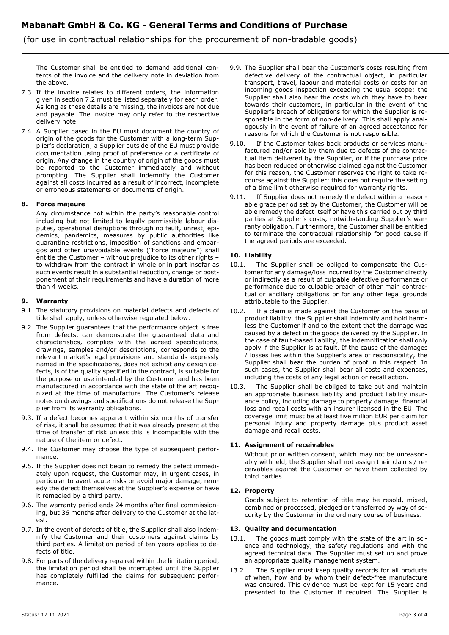# Mabanaft GmbH & Co. KG - General Terms and Conditions of Purchase

(for use in contractual relationships for the procurement of non-tradable goods)

The Customer shall be entitled to demand additional contents of the invoice and the delivery note in deviation from the above.

- 7.3. If the invoice relates to different orders, the information given in section 7.2 must be listed separately for each order. As long as these details are missing, the invoices are not due and payable. The invoice may only refer to the respective delivery note.
- 7.4. A Supplier based in the EU must document the country of origin of the goods for the Customer with a long-term Supplier's declaration; a Supplier outside of the EU must provide documentation using proof of preference or a certificate of origin. Any change in the country of origin of the goods must be reported to the Customer immediately and without prompting. The Supplier shall indemnify the Customer against all costs incurred as a result of incorrect, incomplete or erroneous statements or documents of origin.

### 8. Force majeure

Any circumstance not within the party's reasonable control including but not limited to legally permissible labour disputes, operational disruptions through no fault, unrest, epidemics, pandemics, measures by public authorities like quarantine restrictions, imposition of sanctions and embargos and other unavoidable events ("Force majeure") shall entitle the Customer – without prejudice to its other rights – to withdraw from the contract in whole or in part insofar as such events result in a substantial reduction, change or postponement of their requirements and have a duration of more than 4 weeks.

### 9. Warranty

- 9.1. The statutory provisions on material defects and defects of title shall apply, unless otherwise regulated below.
- 9.2. The Supplier guarantees that the performance object is free from defects, can demonstrate the guaranteed data and characteristics, complies with the agreed specifications, drawings, samples and/or descriptions, corresponds to the relevant market's legal provisions and standards expressly named in the specifications, does not exhibit any design defects, is of the quality specified in the contract, is suitable for the purpose or use intended by the Customer and has been manufactured in accordance with the state of the art recognized at the time of manufacture. The Customer's release notes on drawings and specifications do not release the Supplier from its warranty obligations.
- 9.3. If a defect becomes apparent within six months of transfer of risk, it shall be assumed that it was already present at the time of transfer of risk unless this is incompatible with the nature of the item or defect.
- 9.4. The Customer may choose the type of subsequent performance.
- 9.5. If the Supplier does not begin to remedy the defect immediately upon request, the Customer may, in urgent cases, in particular to avert acute risks or avoid major damage, remedy the defect themselves at the Supplier's expense or have it remedied by a third party.
- 9.6. The warranty period ends 24 months after final commissioning, but 36 months after delivery to the Customer at the latest.
- 9.7. In the event of defects of title, the Supplier shall also indemnify the Customer and their customers against claims by third parties. A limitation period of ten years applies to defects of title.
- 9.8. For parts of the delivery repaired within the limitation period, the limitation period shall be interrupted until the Supplier has completely fulfilled the claims for subsequent performance.
- 9.9. The Supplier shall bear the Customer's costs resulting from defective delivery of the contractual object, in particular transport, travel, labour and material costs or costs for an incoming goods inspection exceeding the usual scope; the Supplier shall also bear the costs which they have to bear towards their customers, in particular in the event of the Supplier's breach of obligations for which the Supplier is responsible in the form of non-delivery. This shall apply analogously in the event of failure of an agreed acceptance for reasons for which the Customer is not responsible.
- 9.10. If the Customer takes back products or services manufactured and/or sold by them due to defects of the contractual item delivered by the Supplier, or if the purchase price has been reduced or otherwise claimed against the Customer for this reason, the Customer reserves the right to take recourse against the Supplier; this does not require the setting of a time limit otherwise required for warranty rights.
- 9.11. If Supplier does not remedy the defect within a reasonable grace period set by the Customer, the Customer will be able remedy the defect itself or have this carried out by third parties at Supplier's costs, notwithstanding Supplier's warranty obligation. Furthermore, the Customer shall be entitled to terminate the contractual relationship for good cause if the agreed periods are exceeded.

# 10. Liability

- 10.1. The Supplier shall be obliged to compensate the Customer for any damage/loss incurred by the Customer directly or indirectly as a result of culpable defective performance or performance due to culpable breach of other main contractual or ancillary obligations or for any other legal grounds attributable to the Supplier.
- 10.2. If a claim is made against the Customer on the basis of product liability, the Supplier shall indemnify and hold harmless the Customer if and to the extent that the damage was caused by a defect in the goods delivered by the Supplier. In the case of fault-based liability, the indemnification shall only apply if the Supplier is at fault. If the cause of the damages / losses lies within the Supplier's area of responsibility, the Supplier shall bear the burden of proof in this respect. In such cases, the Supplier shall bear all costs and expenses, including the costs of any legal action or recall action.
- 10.3. The Supplier shall be obliged to take out and maintain an appropriate business liability and product liability insurance policy, including damage to property damage, financial loss and recall costs with an insurer licensed in the EU. The coverage limit must be at least five million EUR per claim for personal injury and property damage plus product asset damage and recall costs.

# 11. Assignment of receivables

Without prior written consent, which may not be unreasonably withheld, the Supplier shall not assign their claims / receivables against the Customer or have them collected by third parties.

# 12. Property

Goods subject to retention of title may be resold, mixed, combined or processed, pledged or transferred by way of security by the Customer in the ordinary course of business.

#### 13. Quality and documentation

- 13.1. The goods must comply with the state of the art in science and technology, the safety regulations and with the agreed technical data. The Supplier must set up and prove an appropriate quality management system.
- 13.2. The Supplier must keep quality records for all products of when, how and by whom their defect-free manufacture was ensured. This evidence must be kept for 15 years and presented to the Customer if required. The Supplier is